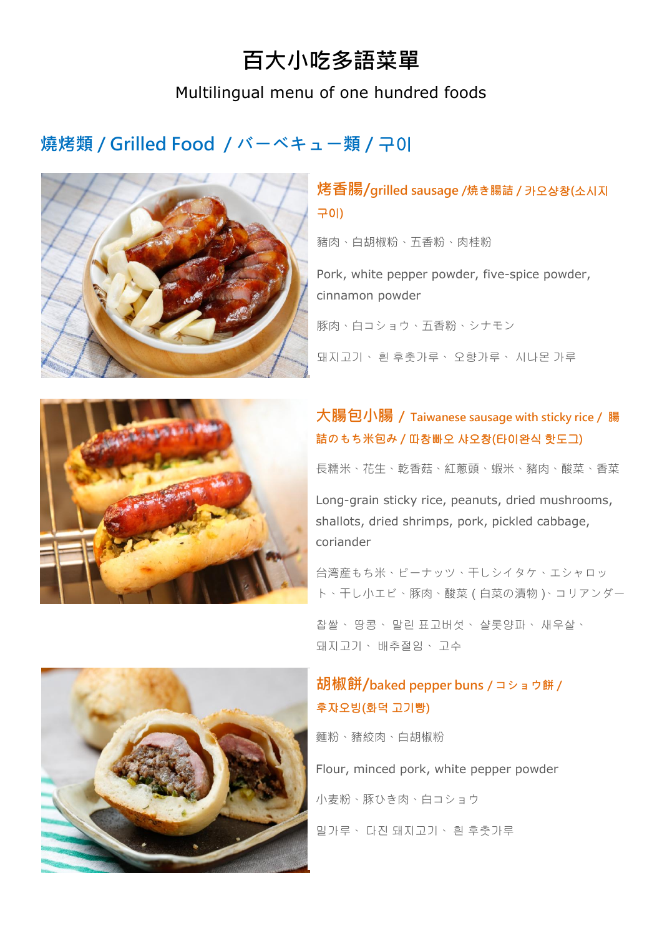# 百大小吃多語菜單

### Multilingual menu of one hundred foods

# 燒烤類 / Grilled Food / バーベキュー類 / 구이



### **烤香腸/grilled sausage /焼き腸詰 / 카오샹창(소시지** 구이)

豬肉、白胡椒粉、五香粉、肉桂粉

Pork, white pepper powder, five-spice powder, cinnamon powder

豚肉、白コショウ、五香粉、シナモン

돼지고기、 흰 후춧가루、 오향가루、 시나몬 가루



## 大腸包小腸 / Taiwanese sausage with sticky rice / 腸 詰のもち米包み / 따창빠오 샤오창(타이완식 핫도그)

長糯米、花生、乾香菇、紅蔥頭、蝦米、豬肉、酸菜、香菜

Long-grain sticky rice, peanuts, dried mushrooms, shallots, dried shrimps, pork, pickled cabbage, coriander

台湾産もち米、ピーナッツ、干しシイタケ、エシャロッ ト、干し小エビ、豚肉、酸菜(白菜の漬物)、コリアンダー

찹쌀、 땅콩、 말린 표고버섯、 샬롯양파、 새우살、 돼지고기、 배추절임、 고수

#### 胡椒餅/baked pepper buns / コショウ餅 / 후쟈오빙(화덕 고기빵)

麵粉、豬絞肉、白胡椒粉

Flour, minced pork, white pepper powder 小麦粉、豚ひき肉、白コショウ 밀가루、 다진 돼지고기、 흰 후춧가루

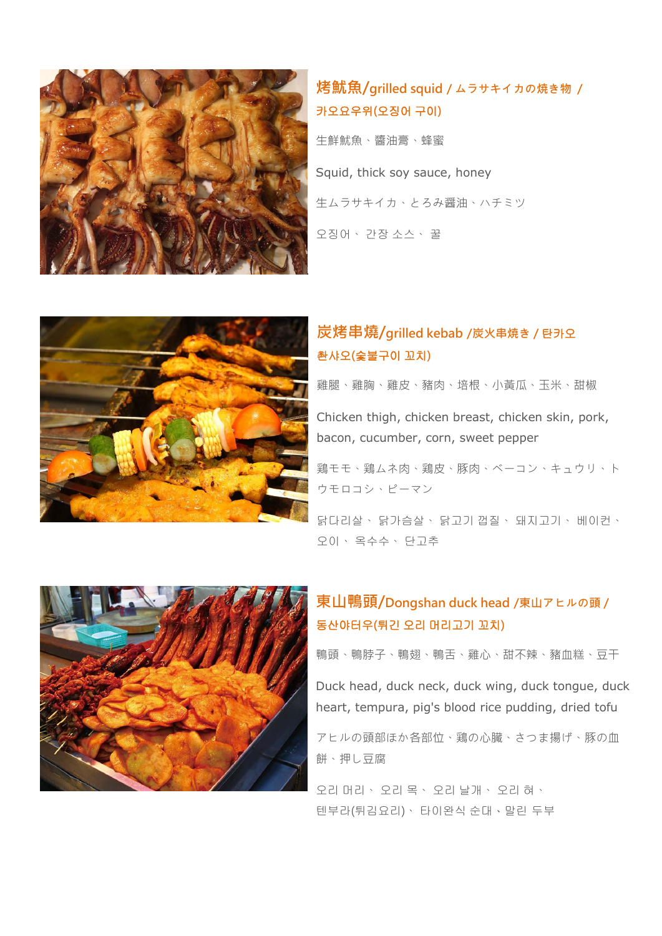

# 烤魷魚/grilled squid / ムラサキイカの焼き物 / 카오요우위(오징어 구이)

生鮮魷魚、醬油膏、蜂蜜 Squid, thick soy sauce, honey 生ムラサキイカ、とろみ醤油、ハチミツ 오징어、 간장 소스、 꿀



#### 炭烤串燒/grilled kebab /炭火串焼き / 탄카오 촨샤오(숯불구이 꼬치)

雞腿、雞胸、雞皮、豬肉、培根、小黃瓜、玉米、甜椒

Chicken thigh, chicken breast, chicken skin, pork, bacon, cucumber, corn, sweet pepper

鶏モモ、鶏ムネ肉、鶏皮、豚肉、ベーコン、キュウリ、ト ウモロコシ、ピーマン

닭다리살、 닭가슴살、 닭고기 껍질、 돼지고기、 베이컨、 오이、 옥수수、 단고추



### 東山鴨頭/Dongshan duck head /東山アヒルの頭 / 동산야터우(튀긴 오리 머리고기 꼬치)

鴨頭、鴨脖子、鴨翅、鴨舌、雞心、甜不辣、豬血糕、豆干

Duck head, duck neck, duck wing, duck tongue, duck heart, tempura, pig's blood rice pudding, dried tofu

アヒルの頭部ほか各部位、鶏の心臓、さつま揚げ、豚の血 餅、押し豆腐

오리 머리、 오리 목、 오리 날개、 오리 혀、 텐부라(튀김요리)、 타이완식 순대、말린 두부